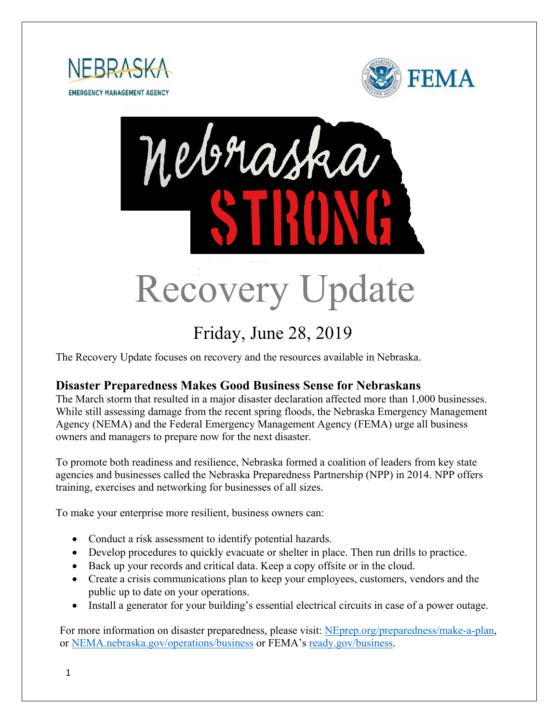





# Friday, June 28, 2019

The Recovery Update focuses on recovery and the resources available in Nebraska.

#### **Disaster Preparedness Makes Good Business Sense for Nebraskans**

The March storm that resulted in a major disaster declaration affected more than 1,000 businesses. While still assessing damage from the recent spring floods, the Nebraska Emergency Management Agency (NEMA) and the Federal Emergency Management Agency (FEMA) urge all business owners and managers to prepare now for the next disaster.

To promote both readiness and resilience, Nebraska formed a coalition of leaders from key state agencies and businesses called the Nebraska Preparedness Partnership (NPP) in 2014. NPP offers training, exercises and networking for businesses of all sizes.

To make your enterprise more resilient, business owners can:

- Conduct a risk assessment to identify potential hazards.
- Develop procedures to quickly evacuate or shelter in place. Then run drills to practice.
- Back up your records and critical data. Keep a copy offsite or in the cloud.
- Create a crisis communications plan to keep your employees, customers, vendors and the public up to date on your operations.
- Install a generator for your building's essential electrical circuits in case of a power outage.

For more information on disaster preparedness, please visit: [NEprep.org/preparedness/make-a-plan,](http://www.neprep.org/preparedness/make-a-plan) or [NEMA.nebraska.gov/operations/business](http://www.nema.nebraska.gov/operations/business) or FEMA's [ready.gov/business.](http://www.ready.gov/business)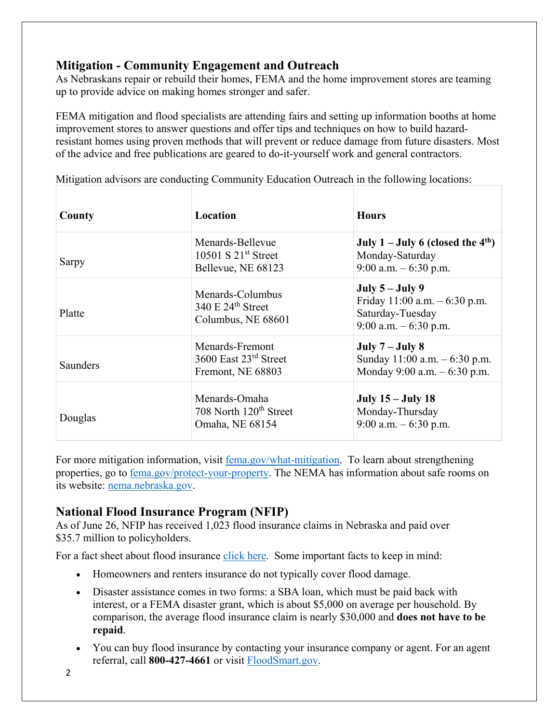## **Mitigation - Community Engagement and Outreach**

As Nebraskans repair or rebuild their homes, FEMA and the home improvement stores are teaming up to provide advice on making homes stronger and safer.

FEMA mitigation and flood specialists are attending fairs and setting up information booths at home improvement stores to answer questions and offer tips and techniques on how to build hazardresistant homes using proven methods that will prevent or reduce damage from future disasters. Most of the advice and free publications are geared to do-it-yourself work and general contractors.

| County   | Location                                                               | <b>Hours</b>                                                                                        |  |
|----------|------------------------------------------------------------------------|-----------------------------------------------------------------------------------------------------|--|
| Sarpy    | Menards-Bellevue<br>10501 S $21st$ Street<br>Bellevue, NE 68123        | July $1 -$ July 6 (closed the 4 <sup>th</sup> )<br>Monday-Saturday<br>9:00 a.m. $-6:30$ p.m.        |  |
| Platte   | Menards-Columbus<br>340 E $24th$ Street<br>Columbus, NE 68601          | July $5 -$ July 9<br>Friday $11:00$ a.m. $-6:30$ p.m.<br>Saturday-Tuesday<br>9:00 a.m. $-6:30$ p.m. |  |
| Saunders | Menards-Fremont<br>3600 East 23rd Street<br>Fremont, NE 68803          | July $7 -$ July 8<br>Sunday $11:00$ a.m. $-6:30$ p.m.<br>Monday 9:00 a.m. $-6:30$ p.m.              |  |
| Douglas  | Menards-Omaha<br>708 North 120 <sup>th</sup> Street<br>Omaha, NE 68154 | <b>July 15 – July 18</b><br>Monday-Thursday<br>9:00 a.m. $-6:30$ p.m.                               |  |

Mitigation advisors are conducting Community Education Outreach in the following locations:

For more mitigation information, visit [fema.gov/what-mitigation.](http://www.fema.gov/what-mitigation) To learn about strengthening properties, go to [fema.gov/protect-your-property.](https://www.fema.gov/protect-your-property) The NEMA has information about safe rooms on its website: [nema.nebraska.gov.](https://nema.nebraska.gov/)

#### **National Flood Insurance Program (NFIP)**

As of June 26, NFIP has received 1,023 flood insurance claims in Nebraska and paid over \$35.7 million to policyholders.

For a fact sheet about flood insurance [click here.](https://www.fema.gov/news-release/2019/05/29/fact-sheet-why-should-i-buy-flood-insurance) Some important facts to keep in mind:

- Homeowners and renters insurance do not typically cover flood damage.
- Disaster assistance comes in two forms: a SBA loan, which must be paid back with interest, or a FEMA disaster grant, which is about \$5,000 on average per household. By comparison, the average flood insurance claim is nearly \$30,000 and **does not have to be repaid**.
- You can buy flood insurance by contacting your insurance company or agent. For an agent referral, call **800-427-4661** or visit [FloodSmart.gov.](https://www.floodsmart.gov/)

2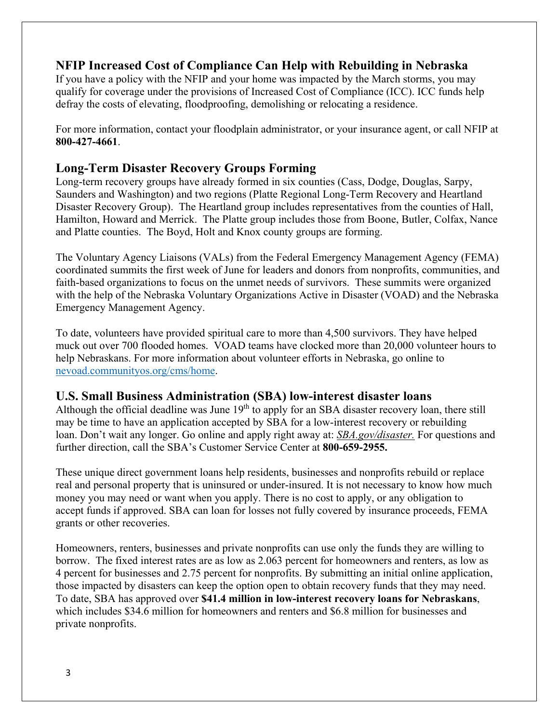#### **NFIP Increased Cost of Compliance Can Help with Rebuilding in Nebraska**

If you have a policy with the NFIP and your home was impacted by the March storms, you may qualify for coverage under the provisions of Increased Cost of Compliance (ICC). ICC funds help defray the costs of elevating, floodproofing, demolishing or relocating a residence.

For more information, contact your floodplain administrator, or your insurance agent, or call NFIP at **800-427-4661**.

#### **Long-Term Disaster Recovery Groups Forming**

Long-term recovery groups have already formed in six counties (Cass, Dodge, Douglas, Sarpy, Saunders and Washington) and two regions (Platte Regional Long-Term Recovery and Heartland Disaster Recovery Group). The Heartland group includes representatives from the counties of Hall, Hamilton, Howard and Merrick. The Platte group includes those from Boone, Butler, Colfax, Nance and Platte counties. The Boyd, Holt and Knox county groups are forming.

The Voluntary Agency Liaisons (VALs) from the Federal Emergency Management Agency (FEMA) coordinated summits the first week of June for leaders and donors from nonprofits, communities, and faith-based organizations to focus on the unmet needs of survivors. These summits were organized with the help of the Nebraska Voluntary Organizations Active in Disaster (VOAD) and the Nebraska Emergency Management Agency.

To date, volunteers have provided spiritual care to more than 4,500 survivors. They have helped muck out over 700 flooded homes. VOAD teams have clocked more than 20,000 volunteer hours to help Nebraskans. For more information about volunteer efforts in Nebraska, go online to [nevoad.communityos.org/cms/home.](https://nevoad.communityos.org/cms/home)

#### **U.S. Small Business Administration (SBA) low-interest disaster loans**

Although the official deadline was June  $19<sup>th</sup>$  to apply for an SBA disaster recovery loan, there still may be time to have an application accepted by SBA for a low-interest recovery or rebuilding loan. Don't wait any longer. Go online and apply right away at: *[SBA.gov/disaster.](http://www.sba.gov/disaster)* For questions and further direction, call the SBA's Customer Service Center at **800-659-2955.** 

These unique direct government loans help residents, businesses and nonprofits rebuild or replace real and personal property that is uninsured or under-insured. It is not necessary to know how much money you may need or want when you apply. There is no cost to apply, or any obligation to accept funds if approved. SBA can loan for losses not fully covered by insurance proceeds, FEMA grants or other recoveries.

Homeowners, renters, businesses and private nonprofits can use only the funds they are willing to borrow. The fixed interest rates are as low as 2.063 percent for homeowners and renters, as low as 4 percent for businesses and 2.75 percent for nonprofits. By submitting an initial online application, those impacted by disasters can keep the option open to obtain recovery funds that they may need. To date, SBA has approved over **\$41.4 million in low-interest recovery loans for Nebraskans**, which includes \$34.6 million for homeowners and renters and \$6.8 million for businesses and private nonprofits.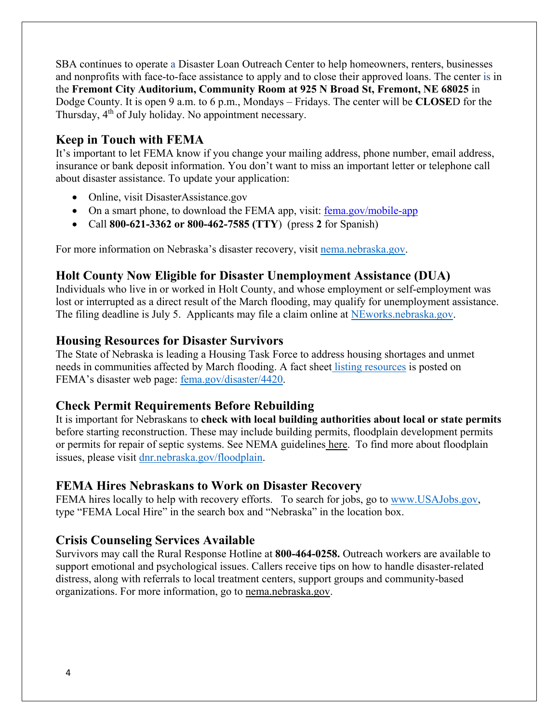SBA continues to operate a Disaster Loan Outreach Center to help homeowners, renters, businesses and nonprofits with face-to-face assistance to apply and to close their approved loans. The center is in the **Fremont City Auditorium, Community Room at 925 N Broad St, Fremont, NE 68025** in Dodge County. It is open 9 a.m. to 6 p.m., Mondays – Fridays. The center will be **CLOSE**D for the Thursday,  $4<sup>th</sup>$  of July holiday. No appointment necessary.

### **Keep in Touch with FEMA**

It's important to let FEMA know if you change your mailing address, phone number, email address, insurance or bank deposit information. You don't want to miss an important letter or telephone call about disaster assistance. To update your application:

- Online, visit DisasterAssistance.gov
- On a smart phone, to download the FEMA app, visit: fema.gov/mobile-app
- Call **800-621-3362 or 800-462-7585 (TTY**) (press **2** for Spanish)

For more information on Nebraska's disaster recovery, visit [nema.nebraska.gov.](http://nema.nebraska.gov/)

### **[Holt County Now Eligible for Disaster Unemployment Assistance \(DUA\)](https://dol.nebraska.gov/PressRelease/Details/118)**

Individuals who live in or worked in Holt County, and whose employment or self-employment was lost or interrupted as a direct result of the March flooding, may qualify for unemployment assistance. The filing deadline is July 5. Applicants may file a claim online at [NEworks.nebraska.gov.](https://neworks.nebraska.gov/vosnet/Default.aspx)

#### **Housing Resources for Disaster Survivors**

The State of Nebraska is leading a Housing Task Force to address housing shortages and unmet needs in communities affected by March flooding. A fact sheet [listing resources](https://edit.fema.gov/news-release/2019/04/19/fact-sheet-housing-resources-residents-nebraska-affected-march-storms-0) is posted on FEMA's disaster web page: [fema.gov/disaster/4420.](http://www.fema.gov/disaster/4420)

#### **Check Permit Requirements Before Rebuilding**

It is important for Nebraskans to **check with local building authorities about local or state permits** before starting reconstruction. These may include building permits, floodplain development permits or permits for repair of septic systems. See NEMA guidelines [here.](https://nema.nebraska.gov/sites/nema.nebraska.gov/files/doc/ehp-considerations.pdf) To find more about floodplain issues, please visit [dnr.nebraska.gov/floodplain.](https://dnr.nebraska.gov/floodplain)

#### **FEMA Hires Nebraskans to Work on Disaster Recovery**

FEMA hires locally to help with recovery efforts. To search for jobs, go to [www.USAJobs.gov,](http://www.usajobs.gov/) type "FEMA Local Hire" in the search box and "Nebraska" in the location box.

#### **Crisis Counseling Services Available**

Survivors may call the Rural Response Hotline at **800-464-0258.** Outreach workers are available to support emotional and psychological issues. Callers receive tips on how to handle disaster-related distress, along with referrals to local treatment centers, support groups and community-based organizations. For more information, go to [nema.nebraska.gov.](file://fema.net/R7/DR/DR-4420-NE/EA/Planning%20and%20Products/Writers/Dale%20Bonza/DFS/nema.nebraska.gov)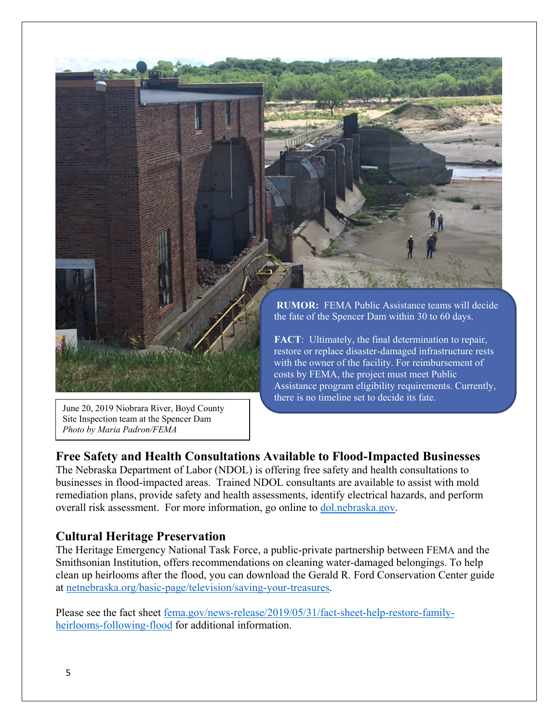

Site Inspection team at the Spencer Dam *Photo by Maria Padron/FEMA*

#### **Free Safety and Health Consultations Available to Flood-Impacted Businesses**

The Nebraska Department of Labor (NDOL) is offering free safety and health consultations to businesses in flood-impacted areas. Trained NDOL consultants are available to assist with mold remediation plans, provide safety and health assessments, identify electrical hazards, and perform overall risk assessment. For more information, go online to [dol.nebraska.gov.](https://dol.nebraska.gov/PressRelease/Details/117)

#### **Cultural Heritage Preservation**

The Heritage Emergency National Task Force, a public-private partnership between FEMA and the Smithsonian Institution, offers recommendations on cleaning water-damaged belongings. To help clean up heirlooms after the flood, you can download the Gerald R. Ford Conservation Center guide at [netnebraska.org/basic-page/television/saving-your-treasures.](http://netnebraska.org/basic-page/television/saving-your-treasures)

Please see the fact sheet [fema.gov/news-release/2019/05/31/fact-sheet-help-restore-family](https://www.fema.gov/news-release/2019/05/31/fact-sheet-help-restore-family-heirlooms-following-flood)[heirlooms-following-flood](https://www.fema.gov/news-release/2019/05/31/fact-sheet-help-restore-family-heirlooms-following-flood) for additional information.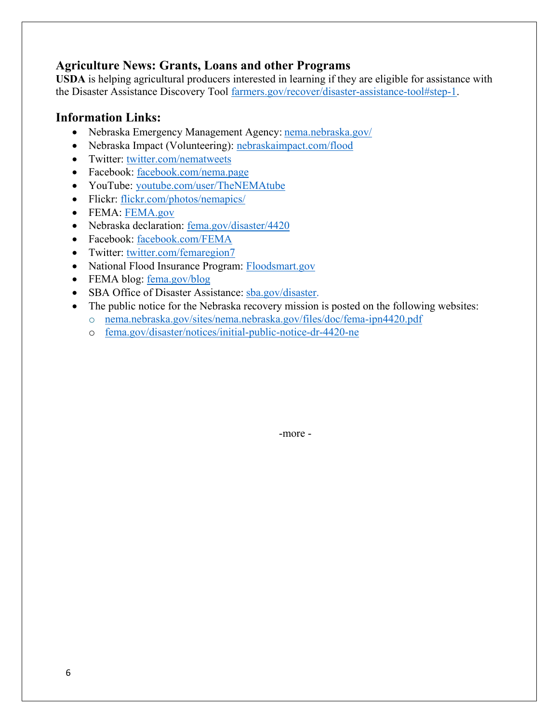#### **Agriculture News: Grants, Loans and other Programs**

**USDA** is helping agricultural producers interested in learning if they are eligible for assistance with the Disaster Assistance Discovery Tool [farmers.gov/recover/disaster-assistance-tool#step-1.](https://www.farmers.gov/recover/disaster-assistance-tool#step-1)

#### **Information Links:**

- Nebraska Emergency Management Agency: [nema.nebraska.gov/](https://nema.nebraska.gov/)
- Nebraska Impact (Volunteering): [nebraskaimpact.com/flood](http://www.nebraskaimpact.com/flood)
- Twitter: [twitter.com/nematweets](https://twitter.com/nematweets)
- Facebook: [facebook.com/nema.page](https://www.facebook.com/nema.page)
- YouTube: [youtube.com/user/TheNEMAtube](https://www.youtube.com/user/TheNEMAtube)
- Flickr: [flickr.com/photos/nemapics/](https://www.flickr.com/photos/nemapics/)
- FEMA: [FEMA.gov](https://www.fema.gov/)
- Nebraska declaration: [fema.gov/disaster/4420](https://www.fema.gov/disaster/4420)
- Facebook: [facebook.com/FEMA](https://www.facebook.com/FEMA)
- Twitter: [twitter.com/femaregion7](https://twitter.com/femaregion7)
- National Flood Insurance Program: [Floodsmart.gov](https://www.floodsmart.gov/)
- FEMA blog: [fema.gov/blog](https://www.fema.gov/blog)
- SBA Office of Disaster Assistance: [sba.gov/disaster.](http://www.sba.gov/disaster)
- The public notice for the Nebraska recovery mission is posted on the following websites:
	- o [nema.nebraska.gov/sites/nema.nebraska.gov/files/doc/fema-ipn4420.pdf](https://nema.nebraska.gov/sites/nema.nebraska.gov/files/doc/fema-ipn4420.pdf)
	- o [fema.gov/disaster/notices/initial-public-notice-dr-4420-ne](https://www.fema.gov/disaster/notices/initial-public-notice-dr-4420-ne)

-more -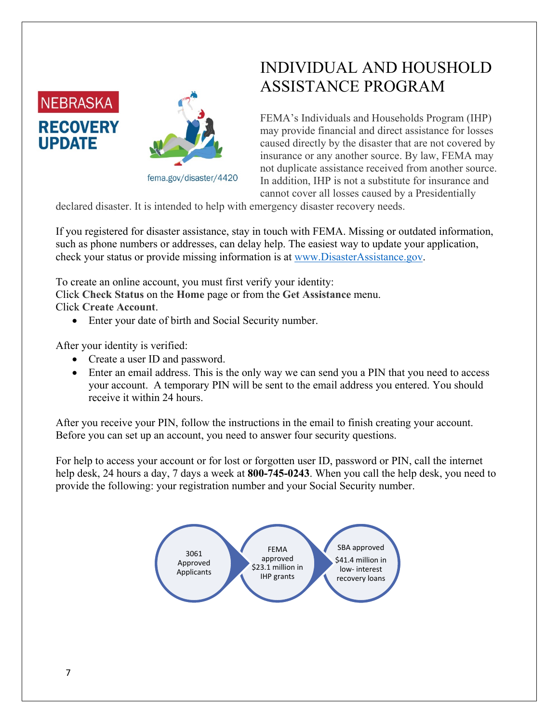



fema.gov/disaster/4420

# INDIVIDUAL AND HOUSHOLD ASSISTANCE PROGRAM

FEMA's Individuals and Households Program (IHP) may provide financial and direct assistance for losses caused directly by the disaster that are not covered by insurance or any another source. By law, FEMA may not duplicate assistance received from another source. In addition, IHP is not a substitute for insurance and cannot cover all losses caused by a Presidentially

declared disaster. It is intended to help with emergency disaster recovery needs.

If you registered for disaster assistance, stay in touch with FEMA. Missing or outdated information, such as phone numbers or addresses, can delay help. The easiest way to update your application, check your status or provide missing information is at [www.DisasterAssistance.gov.](http://www.disasterassistance.gov/)

To create an online account, you must first verify your identity:

Click **Check Status** on the **Home** page or from the **Get Assistance** menu. Click **Create Account**.

• Enter your date of birth and Social Security number.

After your identity is verified:

- Create a user ID and password.
- Enter an email address. This is the only way we can send you a PIN that you need to access your account. A temporary PIN will be sent to the email address you entered. You should receive it within 24 hours.

After you receive your PIN, follow the instructions in the email to finish creating your account. Before you can set up an account, you need to answer four security questions.

For help to access your account or for lost or forgotten user ID, password or PIN, call the internet help desk, 24 hours a day, 7 days a week at **800-745-0243**. When you call the help desk, you need to provide the following: your registration number and your Social Security number.